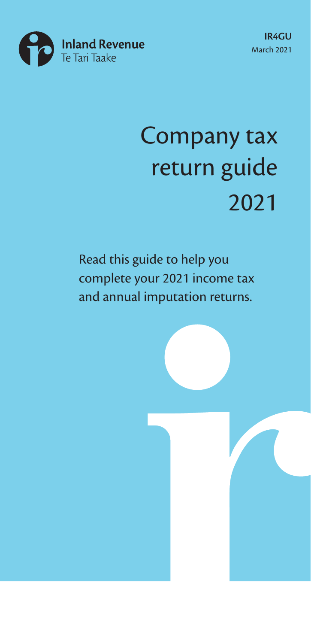

# Company tax return guide 2021

Read this guide to help you complete your 2021 income tax and annual imputation returns.

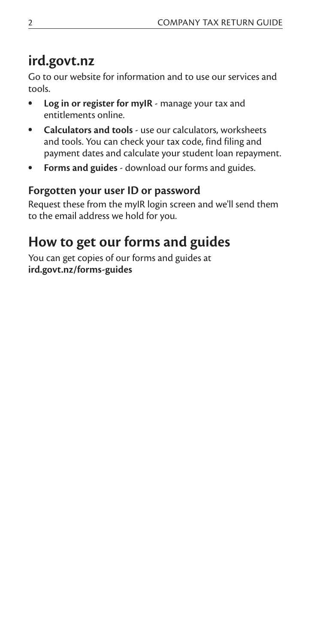### **ird.govt.nz**

Go to our website for information and to use our services and tools.

- **Log in or register for myIR**  manage your tax and entitlements online.
- **Calculators and tools** use our calculators, worksheets and tools. You can check your tax code, find filing and payment dates and calculate your student loan repayment.
- **Forms and guides**  download our forms and guides.

#### **Forgotten your user ID or password**

Request these from the myIR login screen and we'll send them to the email address we hold for you.

### **How to get our forms and guides**

You can get copies of our forms and guides at **ird.govt.nz/forms-guides**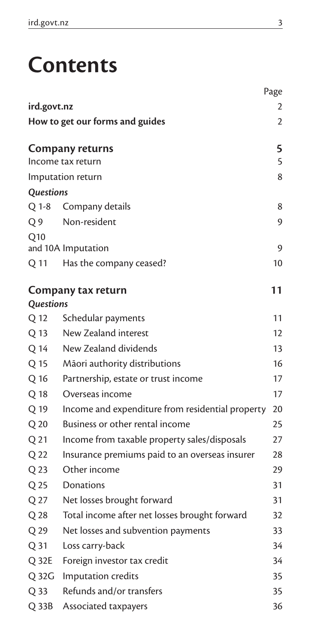# **Contents**

|                 |                                                  | Page |
|-----------------|--------------------------------------------------|------|
| ird.govt.nz     |                                                  | 2    |
|                 | How to get our forms and guides                  | 2    |
|                 | Company returns                                  | 5    |
|                 | Income tax return                                | 5    |
|                 | Imputation return                                | 8    |
| Questions       |                                                  |      |
| Q 1-8           | Company details                                  | 8    |
| Q <sub>9</sub>  | Non-resident                                     | 9    |
| Q10             | and 10A Imputation                               | 9    |
| Q 11            | Has the company ceased?                          | 10   |
| Questions       | Company tax return                               | 11   |
| Q 12            | Schedular payments                               | 11   |
| Q 13            | New Zealand interest                             | 12   |
| Q 14            | New Zealand dividends                            | 13   |
| Q 15            | Māori authority distributions                    | 16   |
| Q 16            | Partnership, estate or trust income              | 17   |
| Q 18            | Overseas income                                  | 17   |
| Q 19            | Income and expenditure from residential property | 20   |
| Q 20            | Business or other rental income                  | 25   |
| Q 21            | Income from taxable property sales/disposals     | 27   |
| Q 22            | Insurance premiums paid to an overseas insurer   | 28   |
| Q 23            | Other income                                     | 29   |
| Q 25            | Donations                                        | 31   |
| Q 27            | Net losses brought forward                       | 31   |
| Q 28            | Total income after net losses brought forward    | 32   |
| Q 29            | Net losses and subvention payments               | 33   |
| Q <sub>31</sub> | Loss carry-back                                  | 34   |
| Q 32E           | Foreign investor tax credit                      | 34   |
| Q 32G           | Imputation credits                               | 35   |
| Q 33            | Refunds and/or transfers                         | 35   |
| $Q$ 33 $B$      | Associated taxpayers                             | 36   |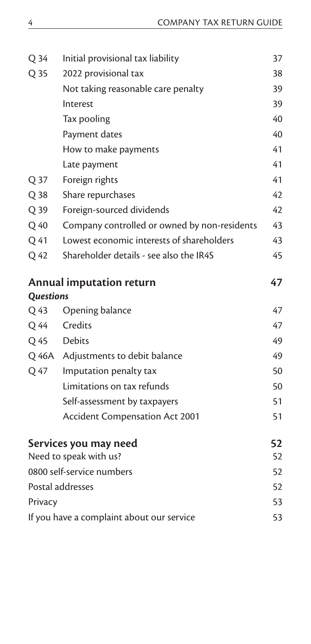| Q 34             | Initial provisional tax liability            | 37 |
|------------------|----------------------------------------------|----|
| Q 35             | 2022 provisional tax                         | 38 |
|                  | Not taking reasonable care penalty           | 39 |
|                  | Interest                                     | 39 |
|                  | Tax pooling                                  | 40 |
|                  | Payment dates                                | 40 |
|                  | How to make payments                         | 41 |
|                  | Late payment                                 | 41 |
| Q 37             | Foreign rights                               | 41 |
| Q 38             | Share repurchases                            | 42 |
| Q 39             | Foreign-sourced dividends                    | 42 |
| Q 40             | Company controlled or owned by non-residents | 43 |
| Q 41             | Lowest economic interests of shareholders    | 43 |
| Q 42             | Shareholder details - see also the IR4S      | 45 |
|                  | <b>Annual imputation return</b>              | 47 |
| <b>Questions</b> |                                              |    |
| Q 43             | Opening balance                              | 47 |
| Q 44             | Credits                                      | 47 |
| Q 45             | <b>Debits</b>                                | 49 |
|                  | Q 46A Adjustments to debit balance           | 49 |
| Q 47             | Imputation penalty tax                       | 50 |
|                  | Limitations on tax refunds                   | 50 |
|                  | Self-assessment by taxpayers                 | 51 |
|                  | <b>Accident Compensation Act 2001</b>        | 51 |
|                  | Services you may need                        | 52 |
|                  | Need to speak with us?                       | 52 |
|                  | 0800 self-service numbers                    | 52 |
|                  | Postal addresses                             | 52 |
| Privacy          |                                              | 53 |
|                  | If you have a complaint about our service    | 53 |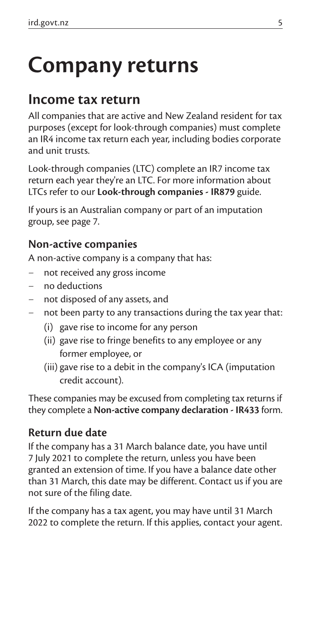# **Company returns**

### **Income tax return**

All companies that are active and New Zealand resident for tax purposes (except for look-through companies) must complete an IR4 income tax return each year, including bodies corporate and unit trusts.

Look-through companies (LTC) complete an IR7 income tax return each year they're an LTC. For more information about LTCs refer to our **Look-through companies - IR879** guide.

If yours is an Australian company or part of an imputation group, see page 7.

#### **Non-active companies**

A non-active company is a company that has:

- not received any gross income
- no deductions
- not disposed of any assets, and
- not been party to any transactions during the tax year that:
	- (i) gave rise to income for any person
	- (ii) gave rise to fringe benefits to any employee or any former employee, or
	- (iii) gave rise to a debit in the company's ICA (imputation credit account).

These companies may be excused from completing tax returns if they complete a **Non-active company declaration - IR433** form.

#### **Return due date**

If the company has a 31 March balance date, you have until 7 July 2021 to complete the return, unless you have been granted an extension of time. If you have a balance date other than 31 March, this date may be different. Contact us if you are not sure of the filing date.

If the company has a tax agent, you may have until 31 March 2022 to complete the return. If this applies, contact your agent.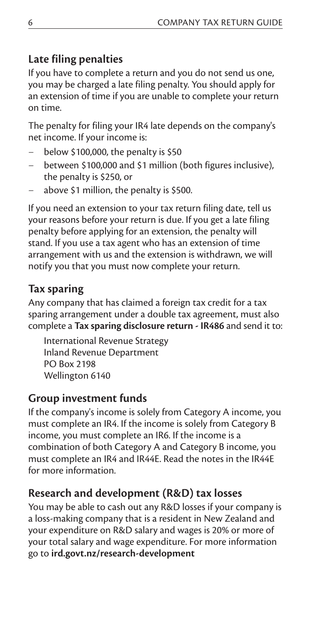#### **Late filing penalties**

If you have to complete a return and you do not send us one, you may be charged a late filing penalty. You should apply for an extension of time if you are unable to complete your return on time.

The penalty for filing your IR4 late depends on the company's net income. If your income is:

- below \$100,000, the penalty is \$50
- between \$100,000 and \$1 million (both figures inclusive), the penalty is \$250, or
- above \$1 million, the penalty is \$500.

If you need an extension to your tax return filing date, tell us your reasons before your return is due. If you get a late filing penalty before applying for an extension, the penalty will stand. If you use a tax agent who has an extension of time arrangement with us and the extension is withdrawn, we will notify you that you must now complete your return.

#### **Tax sparing**

Any company that has claimed a foreign tax credit for a tax sparing arrangement under a double tax agreement, must also complete a **Tax sparing disclosure return - IR486** and send it to:

International Revenue Strategy Inland Revenue Department PO Box 2198 Wellington 6140

#### **Group investment funds**

If the company's income is solely from Category A income, you must complete an IR4. If the income is solely from Category B income, you must complete an IR6. If the income is a combination of both Category A and Category B income, you must complete an IR4 and IR44E. Read the notes in the IR44E for more information.

#### **Research and development (R&D) tax losses**

You may be able to cash out any R&D losses if your company is a loss-making company that is a resident in New Zealand and your expenditure on R&D salary and wages is 20% or more of your total salary and wage expenditure. For more information go to **ird.govt.nz/research-development**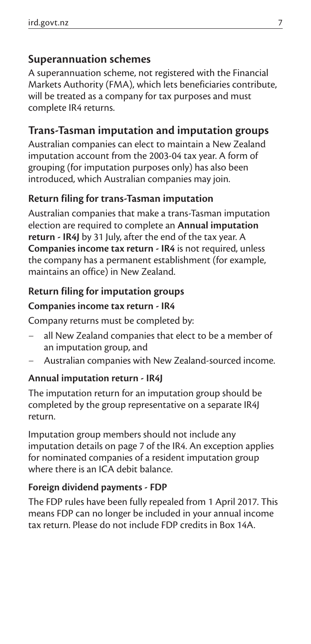#### **Superannuation schemes**

A superannuation scheme, not registered with the Financial Markets Authority (FMA), which lets beneficiaries contribute, will be treated as a company for tax purposes and must complete IR4 returns.

#### **Trans-Tasman imputation and imputation groups**

Australian companies can elect to maintain a New Zealand imputation account from the 2003-04 tax year. A form of grouping (for imputation purposes only) has also been introduced, which Australian companies may join.

#### **Return filing for trans-Tasman imputation**

Australian companies that make a trans-Tasman imputation election are required to complete an **Annual imputation return - IR4J** by 31 July, after the end of the tax year. A **Companies income tax return - IR4** is not required, unless the company has a permanent establishment (for example, maintains an office) in New Zealand.

#### **Return filing for imputation groups**

#### **Companies income tax return - IR4**

Company returns must be completed by:

- all New Zealand companies that elect to be a member of an imputation group, and
- Australian companies with New Zealand-sourced income.

#### **Annual imputation return - IR4J**

The imputation return for an imputation group should be completed by the group representative on a separate IR4J return.

Imputation group members should not include any imputation details on page 7 of the IR4. An exception applies for nominated companies of a resident imputation group where there is an ICA debit balance.

#### **Foreign dividend payments - FDP**

The FDP rules have been fully repealed from 1 April 2017. This means FDP can no longer be included in your annual income tax return. Please do not include FDP credits in Box 14A.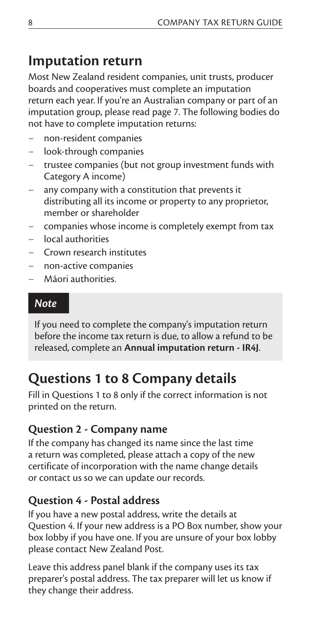### **Imputation return**

Most New Zealand resident companies, unit trusts, producer boards and cooperatives must complete an imputation return each year. If you're an Australian company or part of an imputation group, please read page 7. The following bodies do not have to complete imputation returns:

- non-resident companies
- look-through companies
- trustee companies (but not group investment funds with Category A income)
- any company with a constitution that prevents it distributing all its income or property to any proprietor, member or shareholder
- companies whose income is completely exempt from tax
- local authorities
- Crown research institutes
- non-active companies
- Māori authorities.

#### *Note*

If you need to complete the company's imputation return before the income tax return is due, to allow a refund to be released, complete an **Annual imputation return - IR4J**.

### **Questions 1 to 8 Company details**

Fill in Questions 1 to 8 only if the correct information is not printed on the return.

#### **Question 2 - Company name**

If the company has changed its name since the last time a return was completed, please attach a copy of the new certificate of incorporation with the name change details or contact us so we can update our records.

#### **Question 4 - Postal address**

If you have a new postal address, write the details at Question 4. If your new address is a PO Box number, show your box lobby if you have one. If you are unsure of your box lobby please contact New Zealand Post.

Leave this address panel blank if the company uses its tax preparer's postal address. The tax preparer will let us know if they change their address.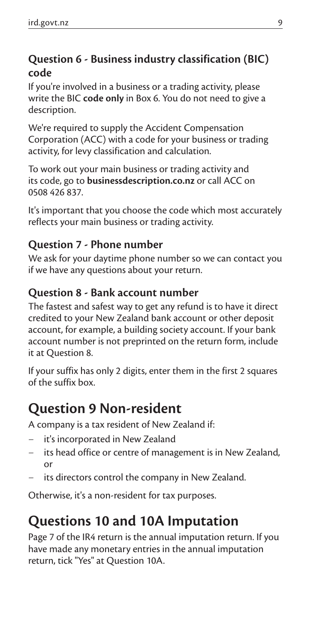#### **Question 6 - Business industry classification (BIC) code**

If you're involved in a business or a trading activity, please write the BIC **code only** in Box 6. You do not need to give a description.

We're required to supply the Accident Compensation Corporation (ACC) with a code for your business or trading activity, for levy classification and calculation.

To work out your main business or trading activity and its code, go to **businessdescription.co.nz** or call ACC on 0508 426 837.

It's important that you choose the code which most accurately reflects your main business or trading activity.

#### **Question 7 - Phone number**

We ask for your daytime phone number so we can contact you if we have any questions about your return.

#### **Question 8 - Bank account number**

The fastest and safest way to get any refund is to have it direct credited to your New Zealand bank account or other deposit account, for example, a building society account. If your bank account number is not preprinted on the return form, include it at Question 8.

If your suffix has only 2 digits, enter them in the first 2 squares of the suffix box.

### **Question 9 Non-resident**

A company is a tax resident of New Zealand if:

- it's incorporated in New Zealand
- its head office or centre of management is in New Zealand, or
- its directors control the company in New Zealand.

Otherwise, it's a non-resident for tax purposes.

### **Questions 10 and 10A Imputation**

Page 7 of the IR4 return is the annual imputation return. If you have made any monetary entries in the annual imputation return, tick "Yes" at Question 10A.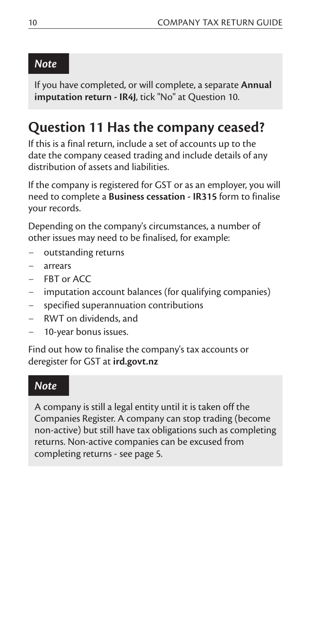#### *Note*

If you have completed, or will complete, a separate **Annual imputation return - IR4J**, tick "No" at Question 10.

### **Question 11 Has the company ceased?**

If this is a final return, include a set of accounts up to the date the company ceased trading and include details of any distribution of assets and liabilities.

If the company is registered for GST or as an employer, you will need to complete a **Business cessation - IR315** form to finalise your records.

Depending on the company's circumstances, a number of other issues may need to be finalised, for example:

- outstanding returns
- arrears
- FBT or ACC
- imputation account balances (for qualifying companies)
- specified superannuation contributions
- RWT on dividends, and
- 10-year bonus issues.

Find out how to finalise the company's tax accounts or deregister for GST at **ird.govt.nz**

#### *Note*

A company is still a legal entity until it is taken off the Companies Register. A company can stop trading (become non-active) but still have tax obligations such as completing returns. Non-active companies can be excused from completing returns - see page 5.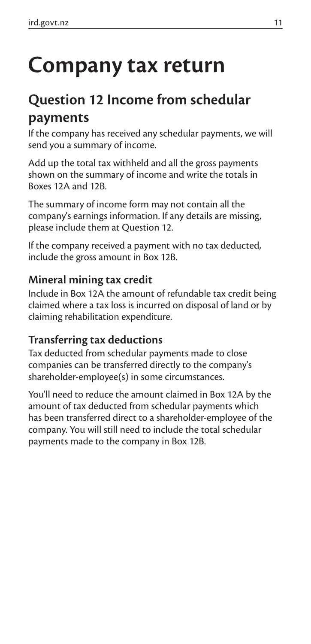# **Company tax return**

### **Question 12 Income from schedular payments**

If the company has received any schedular payments, we will send you a summary of income.

Add up the total tax withheld and all the gross payments shown on the summary of income and write the totals in Boxes 12A and 12B.

The summary of income form may not contain all the company's earnings information. If any details are missing, please include them at Question 12.

If the company received a payment with no tax deducted, include the gross amount in Box 12B.

#### **Mineral mining tax credit**

Include in Box 12A the amount of refundable tax credit being claimed where a tax loss is incurred on disposal of land or by claiming rehabilitation expenditure.

#### **Transferring tax deductions**

Tax deducted from schedular payments made to close companies can be transferred directly to the company's shareholder-employee(s) in some circumstances.

You'll need to reduce the amount claimed in Box 12A by the amount of tax deducted from schedular payments which has been transferred direct to a shareholder-employee of the company. You will still need to include the total schedular payments made to the company in Box 12B.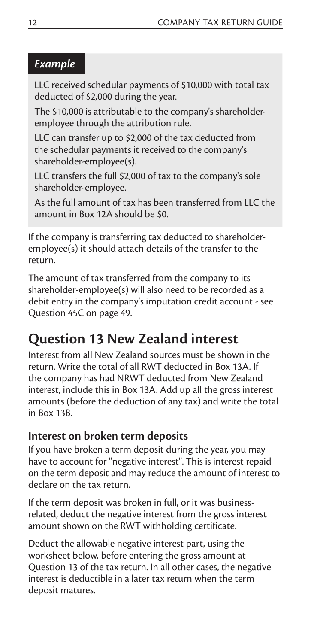#### *Example*

LLC received schedular payments of \$10,000 with total tax deducted of \$2,000 during the year.

The \$10,000 is attributable to the company's shareholderemployee through the attribution rule.

LLC can transfer up to \$2,000 of the tax deducted from the schedular payments it received to the company's shareholder-employee(s).

LLC transfers the full \$2,000 of tax to the company's sole shareholder-employee.

As the full amount of tax has been transferred from LLC the amount in Box 12A should be \$0.

If the company is transferring tax deducted to shareholderemployee(s) it should attach details of the transfer to the return.

The amount of tax transferred from the company to its shareholder-employee(s) will also need to be recorded as a debit entry in the company's imputation credit account - see Question 45C on page 49.

# **Question 13 New Zealand interest**

Interest from all New Zealand sources must be shown in the return. Write the total of all RWT deducted in Box 13A. If the company has had NRWT deducted from New Zealand interest, include this in Box 13A. Add up all the gross interest amounts (before the deduction of any tax) and write the total in Box 13B.

#### **Interest on broken term deposits**

If you have broken a term deposit during the year, you may have to account for "negative interest". This is interest repaid on the term deposit and may reduce the amount of interest to declare on the tax return.

If the term deposit was broken in full, or it was businessrelated, deduct the negative interest from the gross interest amount shown on the RWT withholding certificate.

Deduct the allowable negative interest part, using the worksheet below, before entering the gross amount at Question 13 of the tax return. In all other cases, the negative interest is deductible in a later tax return when the term deposit matures.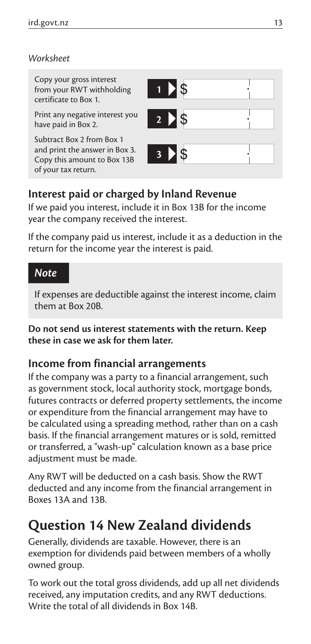#### *Worksheet*

Copy your gross interest from your RWT withholding certificate to Box 1.

Print any negative interest you have paid in Box 2.

Subtract Box 2 from Box 1 and print the answer in Box 3. Copy this amount to Box 13B of your tax return.



#### **Interest paid or charged by Inland Revenue**

If we paid you interest, include it in Box 13B for the income year the company received the interest.

If the company paid us interest, include it as a deduction in the return for the income year the interest is paid.

#### *Note*

If expenses are deductible against the interest income, claim them at Box 20B.

**Do not send us interest statements with the return. Keep these in case we ask for them later.**

#### **Income from financial arrangements**

If the company was a party to a financial arrangement, such as government stock, local authority stock, mortgage bonds, futures contracts or deferred property settlements, the income or expenditure from the financial arrangement may have to be calculated using a spreading method, rather than on a cash basis. If the financial arrangement matures or is sold, remitted or transferred, a "wash-up" calculation known as a base price adjustment must be made.

Any RWT will be deducted on a cash basis. Show the RWT deducted and any income from the financial arrangement in Boxes 13A and 13B.

### **Question 14 New Zealand dividends**

Generally, dividends are taxable. However, there is an exemption for dividends paid between members of a wholly owned group.

To work out the total gross dividends, add up all net dividends received, any imputation credits, and any RWT deductions. Write the total of all dividends in Box 14B.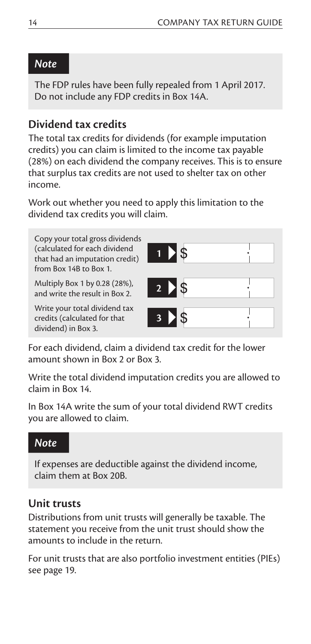#### *Note*

The FDP rules have been fully repealed from 1 April 2017. Do not include any FDP credits in Box 14A.

#### **Dividend tax credits**

The total tax credits for dividends (for example imputation credits) you can claim is limited to the income tax payable (28%) on each dividend the company receives. This is to ensure that surplus tax credits are not used to shelter tax on other income.

Work out whether you need to apply this limitation to the dividend tax credits you will claim.

Copy your total gross dividends (calculated for each dividend that had an imputation credit) from Box 14B to Box 1.

Multiply Box 1 by 0.28 (28%), and write the result in Box 2. **2**

Write your total dividend tax credits (calculated for that dividend) in Box 3.

| <b>D</b> \$               |  |
|---------------------------|--|
| $2 \times$                |  |
| $\triangleright$ \$<br>r. |  |

For each dividend, claim a dividend tax credit for the lower amount shown in Box 2 or Box 3.

Write the total dividend imputation credits you are allowed to claim in Box 14.

In Box 14A write the sum of your total dividend RWT credits you are allowed to claim.

#### *Note*

If expenses are deductible against the dividend income, claim them at Box 20B.

#### **Unit trusts**

Distributions from unit trusts will generally be taxable. The statement you receive from the unit trust should show the amounts to include in the return.

For unit trusts that are also portfolio investment entities (PIEs) see page 19.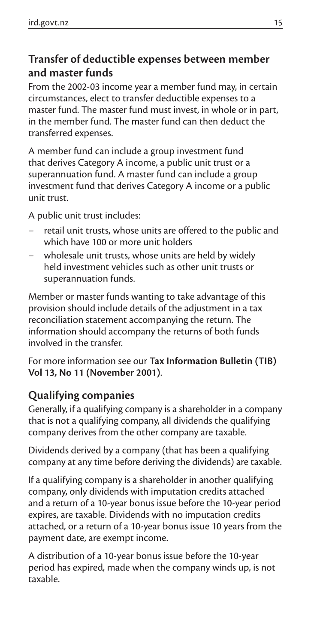#### **Transfer of deductible expenses between member and master funds**

From the 2002-03 income year a member fund may, in certain circumstances, elect to transfer deductible expenses to a master fund. The master fund must invest, in whole or in part, in the member fund. The master fund can then deduct the transferred expenses.

A member fund can include a group investment fund that derives Category A income, a public unit trust or a superannuation fund. A master fund can include a group investment fund that derives Category A income or a public unit trust.

A public unit trust includes:

- retail unit trusts, whose units are offered to the public and which have 100 or more unit holders
- wholesale unit trusts, whose units are held by widely held investment vehicles such as other unit trusts or superannuation funds.

Member or master funds wanting to take advantage of this provision should include details of the adjustment in a tax reconciliation statement accompanying the return. The information should accompany the returns of both funds involved in the transfer.

For more information see our **Tax Information Bulletin (TIB) Vol 13, No 11 (November 2001)**.

#### **Qualifying companies**

Generally, if a qualifying company is a shareholder in a company that is not a qualifying company, all dividends the qualifying company derives from the other company are taxable.

Dividends derived by a company (that has been a qualifying company at any time before deriving the dividends) are taxable.

If a qualifying company is a shareholder in another qualifying company, only dividends with imputation credits attached and a return of a 10-year bonus issue before the 10-year period expires, are taxable. Dividends with no imputation credits attached, or a return of a 10-year bonus issue 10 years from the payment date, are exempt income.

A distribution of a 10-year bonus issue before the 10-year period has expired, made when the company winds up, is not taxable.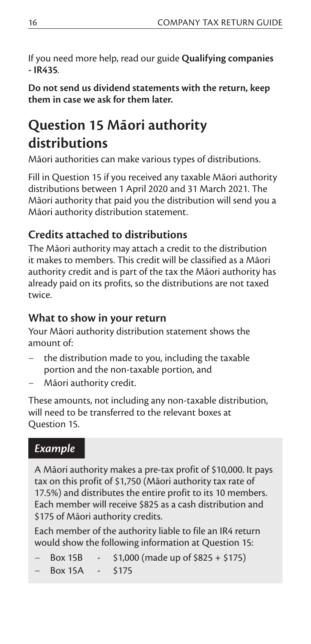If you need more help, read our guide **Qualifying companies - IR435***.*

**Do not send us dividend statements with the return, keep them in case we ask for them later.**

# **Question 15 Maori authority distributions**

Māori authorities can make various types of distributions.

Fill in Question 15 if you received any taxable Māori authority distributions between 1 April 2020 and 31 March 2021. The Māori authority that paid you the distribution will send you a Māori authority distribution statement.

#### **Credits attached to distributions**

The Māori authority may attach a credit to the distribution it makes to members. This credit will be classified as a Māori authority credit and is part of the tax the Māori authority has already paid on its profits, so the distributions are not taxed twice.

#### **What to show in your return**

Your Māori authority distribution statement shows the amount of:

- the distribution made to you, including the taxable portion and the non-taxable portion, and
- Māori authority credit.

These amounts, not including any non-taxable distribution, will need to be transferred to the relevant boxes at Question 15.

#### *Example*

A Māori authority makes a pre-tax profit of \$10,000. It pays tax on this profit of \$1,750 (Māori authority tax rate of 17.5%) and distributes the entire profit to its 10 members. Each member will receive \$825 as a cash distribution and \$175 of Māori authority credits.

Each member of the authority liable to file an IR4 return would show the following information at Question 15:

- Box 15B  $\sim$  \$1,000 (made up of \$825 + \$175)
- Box 15A \$175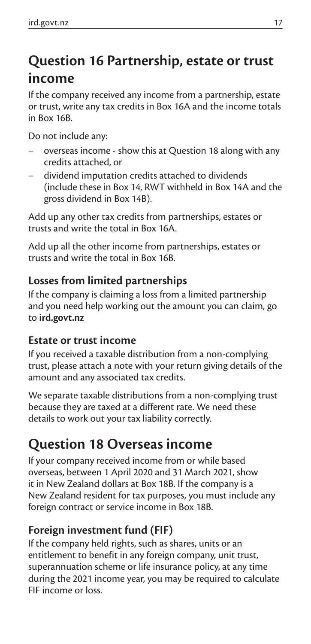# **Question 16 Partnership, estate or trust income**

If the company received any income from a partnership, estate or trust, write any tax credits in Box 16A and the income totals in Box 16B.

Do not include any:

- overseas income show this at Question 18 along with any credits attached, or
- dividend imputation credits attached to dividends (include these in Box 14, RWT withheld in Box 14A and the gross dividend in Box 14B).

Add up any other tax credits from partnerships, estates or trusts and write the total in Box 16A.

Add up all the other income from partnerships, estates or trusts and write the total in Box 16B.

#### **Losses from limited partnerships**

If the company is claiming a loss from a limited partnership and you need help working out the amount you can claim, go to **ird.govt.nz**

#### **Estate or trust income**

If you received a taxable distribution from a non-complying trust, please attach a note with your return giving details of the amount and any associated tax credits.

We separate taxable distributions from a non-complying trust because they are taxed at a different rate. We need these details to work out your tax liability correctly.

### **Question 18 Overseas income**

If your company received income from or while based overseas, between 1 April 2020 and 31 March 2021, show it in New Zealand dollars at Box 18B. If the company is a New Zealand resident for tax purposes, you must include any foreign contract or service income in Box 18B.

#### **Foreign investment fund (FIF)**

If the company held rights, such as shares, units or an entitlement to benefit in any foreign company, unit trust, superannuation scheme or life insurance policy, at any time during the 2021 income year, you may be required to calculate FIF income or loss.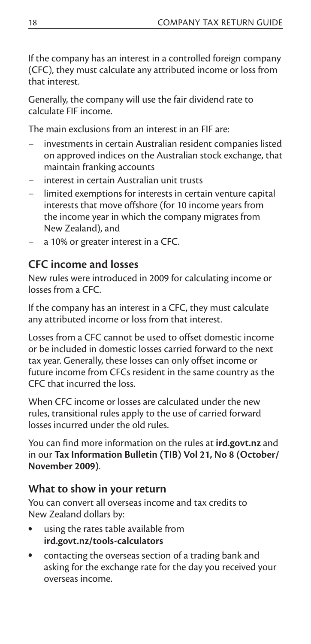If the company has an interest in a controlled foreign company (CFC), they must calculate any attributed income or loss from that interest.

Generally, the company will use the fair dividend rate to calculate FIF income.

The main exclusions from an interest in an FIF are:

- investments in certain Australian resident companies listed on approved indices on the Australian stock exchange, that maintain franking accounts
- interest in certain Australian unit trusts
- limited exemptions for interests in certain venture capital interests that move offshore (for 10 income years from the income year in which the company migrates from New Zealand), and
- a 10% or greater interest in a CFC.

#### **CFC income and losses**

New rules were introduced in 2009 for calculating income or losses from a CFC.

If the company has an interest in a CFC, they must calculate any attributed income or loss from that interest.

Losses from a CFC cannot be used to offset domestic income or be included in domestic losses carried forward to the next tax year. Generally, these losses can only offset income or future income from CFCs resident in the same country as the CFC that incurred the loss.

When CFC income or losses are calculated under the new rules, transitional rules apply to the use of carried forward losses incurred under the old rules.

You can find more information on the rules at **ird.govt.nz** and in our **Tax Information Bulletin (TIB) Vol 21, No 8 (October/ November 2009)**.

#### **What to show in your return**

You can convert all overseas income and tax credits to New Zealand dollars by:

- using the rates table available from **ird.govt.nz/tools-calculators**
- contacting the overseas section of a trading bank and asking for the exchange rate for the day you received your overseas income.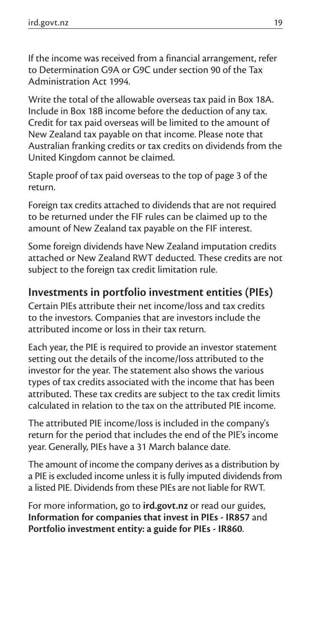If the income was received from a financial arrangement, refer to Determination G9A or G9C under section 90 of the Tax Administration Act 1994.

Write the total of the allowable overseas tax paid in Box 18A. Include in Box 18B income before the deduction of any tax. Credit for tax paid overseas will be limited to the amount of New Zealand tax payable on that income. Please note that Australian franking credits or tax credits on dividends from the United Kingdom cannot be claimed.

Staple proof of tax paid overseas to the top of page 3 of the return.

Foreign tax credits attached to dividends that are not required to be returned under the FIF rules can be claimed up to the amount of New Zealand tax payable on the FIF interest.

Some foreign dividends have New Zealand imputation credits attached or New Zealand RWT deducted. These credits are not subject to the foreign tax credit limitation rule.

#### **Investments in portfolio investment entities (PIEs)**

Certain PIEs attribute their net income/loss and tax credits to the investors. Companies that are investors include the attributed income or loss in their tax return.

Each year, the PIE is required to provide an investor statement setting out the details of the income/loss attributed to the investor for the year. The statement also shows the various types of tax credits associated with the income that has been attributed. These tax credits are subject to the tax credit limits calculated in relation to the tax on the attributed PIE income.

The attributed PIE income/loss is included in the company's return for the period that includes the end of the PIE's income year. Generally, PIEs have a 31 March balance date.

The amount of income the company derives as a distribution by a PIE is excluded income unless it is fully imputed dividends from a listed PIE. Dividends from these PIEs are not liable for RWT.

For more information, go to **ird.govt.nz** or read our guides, **Information for companies that invest in PIEs - IR857** and **Portfolio investment entity: a guide for PIEs - IR860**.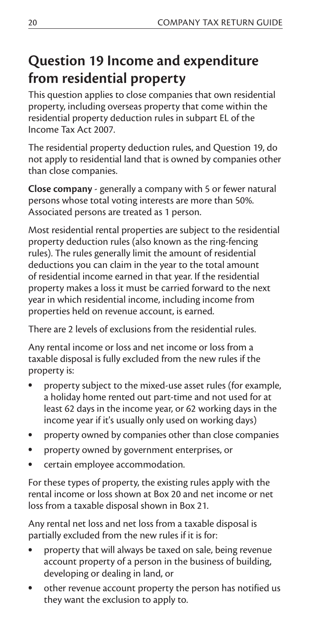## **Question 19 Income and expenditure from residential property**

This question applies to close companies that own residential property, including overseas property that come within the residential property deduction rules in subpart EL of the Income Tax Act 2007.

The residential property deduction rules, and Question 19, do not apply to residential land that is owned by companies other than close companies.

**Close company** - generally a company with 5 or fewer natural persons whose total voting interests are more than 50%. Associated persons are treated as 1 person.

Most residential rental properties are subject to the residential property deduction rules (also known as the ring-fencing rules). The rules generally limit the amount of residential deductions you can claim in the year to the total amount of residential income earned in that year. If the residential property makes a loss it must be carried forward to the next year in which residential income, including income from properties held on revenue account, is earned.

There are 2 levels of exclusions from the residential rules.

Any rental income or loss and net income or loss from a taxable disposal is fully excluded from the new rules if the property is:

- property subject to the mixed-use asset rules (for example, a holiday home rented out part-time and not used for at least 62 days in the income year, or 62 working days in the income year if it's usually only used on working days)
- property owned by companies other than close companies
- property owned by government enterprises, or
- certain employee accommodation.

For these types of property, the existing rules apply with the rental income or loss shown at Box 20 and net income or net loss from a taxable disposal shown in Box 21.

Any rental net loss and net loss from a taxable disposal is partially excluded from the new rules if it is for:

- property that will always be taxed on sale, being revenue account property of a person in the business of building, developing or dealing in land, or
- other revenue account property the person has notified us they want the exclusion to apply to.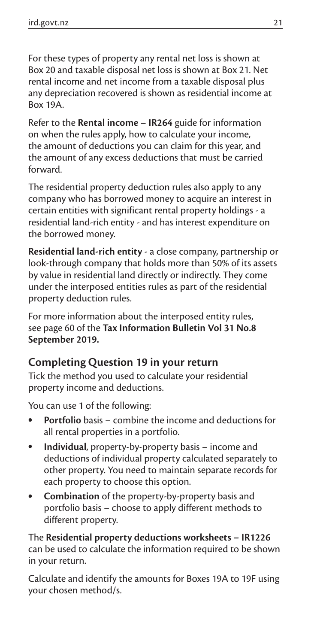For these types of property any rental net loss is shown at Box 20 and taxable disposal net loss is shown at Box 21. Net rental income and net income from a taxable disposal plus any depreciation recovered is shown as residential income at Box 19A.

Refer to the **Rental income – IR264** guide for information on when the rules apply, how to calculate your income, the amount of deductions you can claim for this year, and the amount of any excess deductions that must be carried forward.

The residential property deduction rules also apply to any company who has borrowed money to acquire an interest in certain entities with significant rental property holdings - a residential land-rich entity - and has interest expenditure on the borrowed money.

**Residential land-rich entity** - a close company, partnership or look-through company that holds more than 50% of its assets by value in residential land directly or indirectly. They come under the interposed entities rules as part of the residential property deduction rules.

For more information about the interposed entity rules, see page 60 of the **Tax Information Bulletin Vol 31 No.8 September 2019.**

#### **Completing Question 19 in your return**

Tick the method you used to calculate your residential property income and deductions.

You can use 1 of the following:

- **Portfolio** basis combine the income and deductions for all rental properties in a portfolio.
- **Individual**, property-by-property basis income and deductions of individual property calculated separately to other property. You need to maintain separate records for each property to choose this option.
- **Combination** of the property-by-property basis and portfolio basis – choose to apply different methods to different property.

The **Residential property deductions worksheets – IR1226** can be used to calculate the information required to be shown in your return.

Calculate and identify the amounts for Boxes 19A to 19F using your chosen method/s.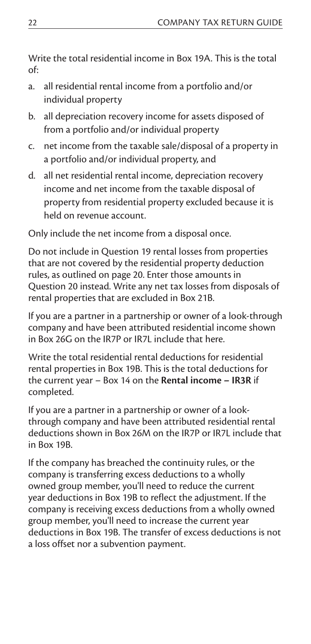Write the total residential income in Box 19A. This is the total of:

- a. all residential rental income from a portfolio and/or individual property
- b. all depreciation recovery income for assets disposed of from a portfolio and/or individual property
- c. net income from the taxable sale/disposal of a property in a portfolio and/or individual property, and
- d. all net residential rental income, depreciation recovery income and net income from the taxable disposal of property from residential property excluded because it is held on revenue account.

Only include the net income from a disposal once.

Do not include in Question 19 rental losses from properties that are not covered by the residential property deduction rules, as outlined on page 20. Enter those amounts in Question 20 instead. Write any net tax losses from disposals of rental properties that are excluded in Box 21B.

If you are a partner in a partnership or owner of a look-through company and have been attributed residential income shown in Box 26G on the IR7P or IR7L include that here.

Write the total residential rental deductions for residential rental properties in Box 19B. This is the total deductions for the current year – Box 14 on the **Rental income – IR3R** if completed.

If you are a partner in a partnership or owner of a lookthrough company and have been attributed residential rental deductions shown in Box 26M on the IR7P or IR7L include that in Box 19B.

If the company has breached the continuity rules, or the company is transferring excess deductions to a wholly owned group member, you'll need to reduce the current year deductions in Box 19B to reflect the adjustment. If the company is receiving excess deductions from a wholly owned group member, you'll need to increase the current year deductions in Box 19B. The transfer of excess deductions is not a loss offset nor a subvention payment.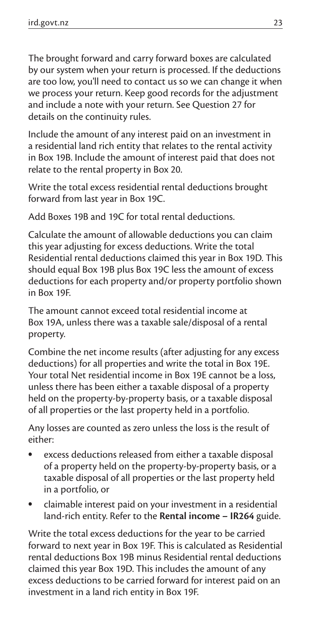The brought forward and carry forward boxes are calculated by our system when your return is processed. If the deductions are too low, you'll need to contact us so we can change it when we process your return. Keep good records for the adjustment and include a note with your return. See Question 27 for details on the continuity rules.

Include the amount of any interest paid on an investment in a residential land rich entity that relates to the rental activity in Box 19B. Include the amount of interest paid that does not relate to the rental property in Box 20.

Write the total excess residential rental deductions brought forward from last year in Box 19C.

Add Boxes 19B and 19C for total rental deductions.

Calculate the amount of allowable deductions you can claim this year adjusting for excess deductions. Write the total Residential rental deductions claimed this year in Box 19D. This should equal Box 19B plus Box 19C less the amount of excess deductions for each property and/or property portfolio shown in Box 19F.

The amount cannot exceed total residential income at Box 19A, unless there was a taxable sale/disposal of a rental property.

Combine the net income results (after adjusting for any excess deductions) for all properties and write the total in Box 19E. Your total Net residential income in Box 19E cannot be a loss, unless there has been either a taxable disposal of a property held on the property-by-property basis, or a taxable disposal of all properties or the last property held in a portfolio.

Any losses are counted as zero unless the loss is the result of either:

- excess deductions released from either a taxable disposal of a property held on the property-by-property basis, or a taxable disposal of all properties or the last property held in a portfolio, or
- claimable interest paid on your investment in a residential land-rich entity. Refer to the **Rental income – IR264** guide.

Write the total excess deductions for the year to be carried forward to next year in Box 19F. This is calculated as Residential rental deductions Box 19B minus Residential rental deductions claimed this year Box 19D. This includes the amount of any excess deductions to be carried forward for interest paid on an investment in a land rich entity in Box 19F.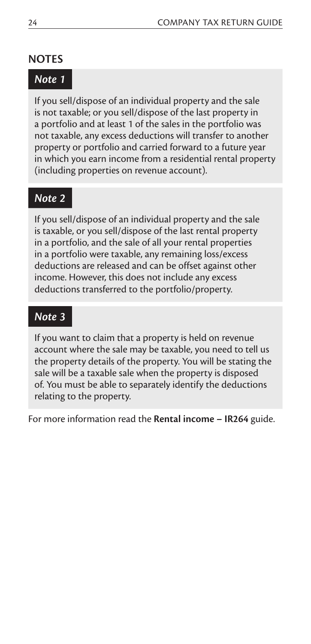#### **NOTES**

#### *Note 1*

If you sell/dispose of an individual property and the sale is not taxable; or you sell/dispose of the last property in a portfolio and at least 1 of the sales in the portfolio was not taxable, any excess deductions will transfer to another property or portfolio and carried forward to a future year in which you earn income from a residential rental property (including properties on revenue account).

#### *Note 2*

If you sell/dispose of an individual property and the sale is taxable, or you sell/dispose of the last rental property in a portfolio, and the sale of all your rental properties in a portfolio were taxable, any remaining loss/excess deductions are released and can be offset against other income. However, this does not include any excess deductions transferred to the portfolio/property.

#### *Note 3*

If you want to claim that a property is held on revenue account where the sale may be taxable, you need to tell us the property details of the property. You will be stating the sale will be a taxable sale when the property is disposed of. You must be able to separately identify the deductions relating to the property.

For more information read the **Rental income – IR264** guide.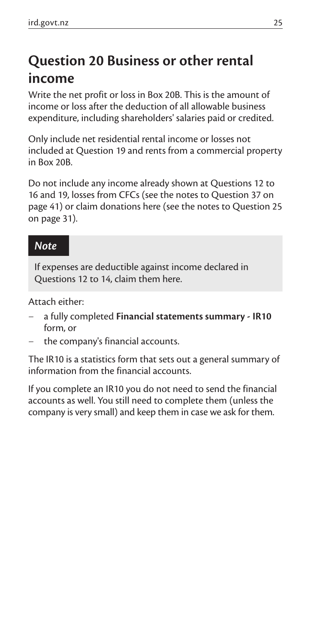# **Question 20 Business or other rental income**

Write the net profit or loss in Box 20B. This is the amount of income or loss after the deduction of all allowable business expenditure, including shareholders' salaries paid or credited.

Only include net residential rental income or losses not included at Question 19 and rents from a commercial property in Box 20B.

Do not include any income already shown at Questions 12 to 16 and 19, losses from CFCs (see the notes to Question 37 on page 41) or claim donations here (see the notes to Question 25 on page 31).

#### *Note*

If expenses are deductible against income declared in Questions 12 to 14, claim them here.

Attach either:

- a fully completed **Financial statements summary IR10** form, or
- the company's financial accounts.

The IR10 is a statistics form that sets out a general summary of information from the financial accounts.

If you complete an IR10 you do not need to send the financial accounts as well. You still need to complete them (unless the company is very small) and keep them in case we ask for them.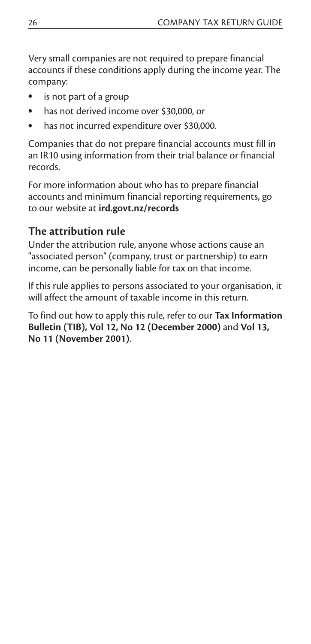Very small companies are not required to prepare financial accounts if these conditions apply during the income year. The company:

- is not part of a group
- has not derived income over \$30,000, or
- has not incurred expenditure over \$30,000.

Companies that do not prepare financial accounts must fill in an IR10 using information from their trial balance or financial records.

For more information about who has to prepare financial accounts and minimum financial reporting requirements, go to our website at **ird.govt.nz/records**

#### **The attribution rule**

Under the attribution rule, anyone whose actions cause an "associated person" (company, trust or partnership) to earn income, can be personally liable for tax on that income.

If this rule applies to persons associated to your organisation, it will affect the amount of taxable income in this return.

To find out how to apply this rule, refer to our **Tax Information Bulletin (TIB), Vol 12, No 12 (December 2000)** and **Vol 13, No 11 (November 2001)**.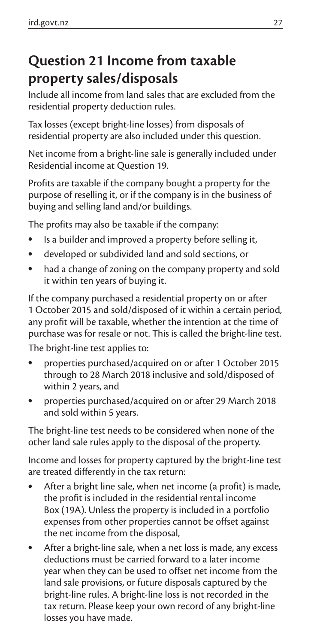# **Question 21 Income from taxable property sales/disposals**

Include all income from land sales that are excluded from the residential property deduction rules.

Tax losses (except bright-line losses) from disposals of residential property are also included under this question.

Net income from a bright-line sale is generally included under Residential income at Question 19.

Profits are taxable if the company bought a property for the purpose of reselling it, or if the company is in the business of buying and selling land and/or buildings.

The profits may also be taxable if the company:

- Is a builder and improved a property before selling it,
- developed or subdivided land and sold sections, or
- had a change of zoning on the company property and sold it within ten years of buying it.

If the company purchased a residential property on or after 1 October 2015 and sold/disposed of it within a certain period, any profit will be taxable, whether the intention at the time of purchase was for resale or not. This is called the bright-line test.

The bright-line test applies to:

- properties purchased/acquired on or after 1 October 2015 through to 28 March 2018 inclusive and sold/disposed of within 2 years, and
- properties purchased/acquired on or after 29 March 2018 and sold within 5 years.

The bright-line test needs to be considered when none of the other land sale rules apply to the disposal of the property.

Income and losses for property captured by the bright-line test are treated differently in the tax return:

- After a bright line sale, when net income (a profit) is made, the profit is included in the residential rental income Box (19A). Unless the property is included in a portfolio expenses from other properties cannot be offset against the net income from the disposal,
- After a bright-line sale, when a net loss is made, any excess deductions must be carried forward to a later income year when they can be used to offset net income from the land sale provisions, or future disposals captured by the bright-line rules. A bright-line loss is not recorded in the tax return. Please keep your own record of any bright-line losses you have made.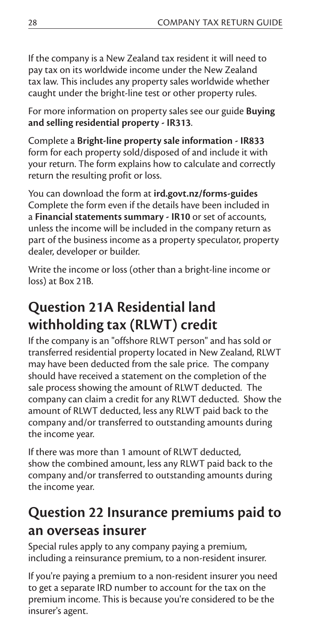If the company is a New Zealand tax resident it will need to pay tax on its worldwide income under the New Zealand tax law. This includes any property sales worldwide whether caught under the bright-line test or other property rules.

For more information on property sales see our guide **Buying and selling residential property - IR313**.

Complete a **Bright-line property sale information - IR833** form for each property sold/disposed of and include it with your return. The form explains how to calculate and correctly return the resulting profit or loss.

You can download the form at **ird.govt.nz/forms-guides** Complete the form even if the details have been included in a **Financial statements summary - IR10** or set of accounts, unless the income will be included in the company return as part of the business income as a property speculator, property dealer, developer or builder.

Write the income or loss (other than a bright-line income or loss) at Box 21B.

# **Question 21A Residential land withholding tax (RLWT) credit**

If the company is an "offshore RLWT person" and has sold or transferred residential property located in New Zealand, RLWT may have been deducted from the sale price. The company should have received a statement on the completion of the sale process showing the amount of RLWT deducted. The company can claim a credit for any RLWT deducted. Show the amount of RLWT deducted, less any RLWT paid back to the company and/or transferred to outstanding amounts during the income year.

If there was more than 1 amount of RLWT deducted, show the combined amount, less any RLWT paid back to the company and/or transferred to outstanding amounts during the income year.

## **Question 22 Insurance premiums paid to an overseas insurer**

Special rules apply to any company paying a premium, including a reinsurance premium, to a non-resident insurer.

If you're paying a premium to a non-resident insurer you need to get a separate IRD number to account for the tax on the premium income. This is because you're considered to be the insurer's agent.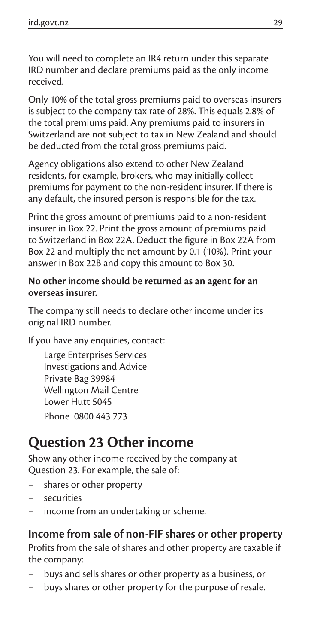You will need to complete an IR4 return under this separate IRD number and declare premiums paid as the only income received.

Only 10% of the total gross premiums paid to overseas insurers is subject to the company tax rate of 28%. This equals 2.8% of the total premiums paid. Any premiums paid to insurers in Switzerland are not subject to tax in New Zealand and should be deducted from the total gross premiums paid.

Agency obligations also extend to other New Zealand residents, for example, brokers, who may initially collect premiums for payment to the non-resident insurer. If there is any default, the insured person is responsible for the tax.

Print the gross amount of premiums paid to a non-resident insurer in Box 22. Print the gross amount of premiums paid to Switzerland in Box 22A. Deduct the figure in Box 22A from Box 22 and multiply the net amount by 0.1 (10%). Print your answer in Box 22B and copy this amount to Box 30.

#### **No other income should be returned as an agent for an overseas insurer.**

The company still needs to declare other income under its original IRD number.

If you have any enquiries, contact:

Large Enterprises Services Investigations and Advice Private Bag 39984 Wellington Mail Centre Lower Hutt 5045 Phone 0800 443 773

### **Question 23 Other income**

Show any other income received by the company at Question 23. For example, the sale of:

- shares or other property
- securities
- income from an undertaking or scheme.

**Income from sale of non-FIF shares or other property** Profits from the sale of shares and other property are taxable if the company:

- buys and sells shares or other property as a business, or
- buys shares or other property for the purpose of resale.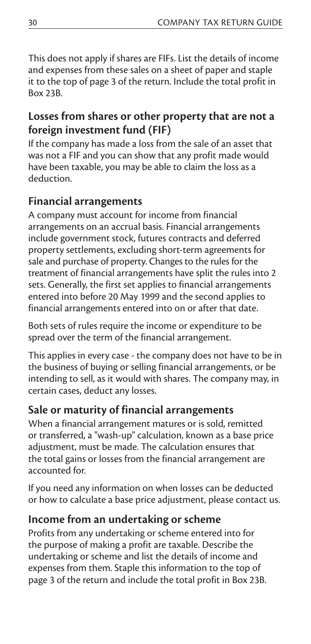This does not apply if shares are FIFs. List the details of income and expenses from these sales on a sheet of paper and staple it to the top of page 3 of the return. Include the total profit in Box 23B.

#### **Losses from shares or other property that are not a foreign investment fund (FIF)**

If the company has made a loss from the sale of an asset that was not a FIF and you can show that any profit made would have been taxable, you may be able to claim the loss as a deduction.

#### **Financial arrangements**

A company must account for income from financial arrangements on an accrual basis. Financial arrangements include government stock, futures contracts and deferred property settlements, excluding short-term agreements for sale and purchase of property. Changes to the rules for the treatment of financial arrangements have split the rules into 2 sets. Generally, the first set applies to financial arrangements entered into before 20 May 1999 and the second applies to financial arrangements entered into on or after that date.

Both sets of rules require the income or expenditure to be spread over the term of the financial arrangement.

This applies in every case - the company does not have to be in the business of buying or selling financial arrangements, or be intending to sell, as it would with shares. The company may, in certain cases, deduct any losses.

#### **Sale or maturity of financial arrangements**

When a financial arrangement matures or is sold, remitted or transferred, a "wash-up" calculation, known as a base price adjustment, must be made. The calculation ensures that the total gains or losses from the financial arrangement are accounted for.

If you need any information on when losses can be deducted or how to calculate a base price adjustment, please contact us.

#### **Income from an undertaking or scheme**

Profits from any undertaking or scheme entered into for the purpose of making a profit are taxable. Describe the undertaking or scheme and list the details of income and expenses from them. Staple this information to the top of page 3 of the return and include the total profit in Box 23B.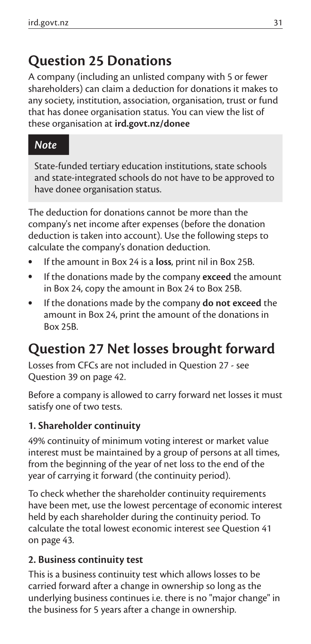# **Question 25 Donations**

A company (including an unlisted company with 5 or fewer shareholders) can claim a deduction for donations it makes to any society, institution, association, organisation, trust or fund that has donee organisation status. You can view the list of these organisation at **ird.govt.nz/donee**

#### *Note*

State-funded tertiary education institutions, state schools and state-integrated schools do not have to be approved to have donee organisation status.

The deduction for donations cannot be more than the company's net income after expenses (before the donation deduction is taken into account). Use the following steps to calculate the company's donation deduction.

- If the amount in Box 24 is a **loss**, print nil in Box 25B.
- If the donations made by the company **exceed** the amount in Box 24, copy the amount in Box 24 to Box 25B.
- If the donations made by the company **do not exceed** the amount in Box 24, print the amount of the donations in Box 25B.

# **Question 27 Net losses brought forward**

Losses from CFCs are not included in Question 27 - see Question 39 on page 42.

Before a company is allowed to carry forward net losses it must satisfy one of two tests.

#### **1. Shareholder continuity**

49% continuity of minimum voting interest or market value interest must be maintained by a group of persons at all times, from the beginning of the year of net loss to the end of the year of carrying it forward (the continuity period).

To check whether the shareholder continuity requirements have been met, use the lowest percentage of economic interest held by each shareholder during the continuity period. To calculate the total lowest economic interest see Question 41 on page 43.

#### **2. Business continuity test**

This is a business continuity test which allows losses to be carried forward after a change in ownership so long as the underlying business continues i.e. there is no "major change" in the business for 5 years after a change in ownership.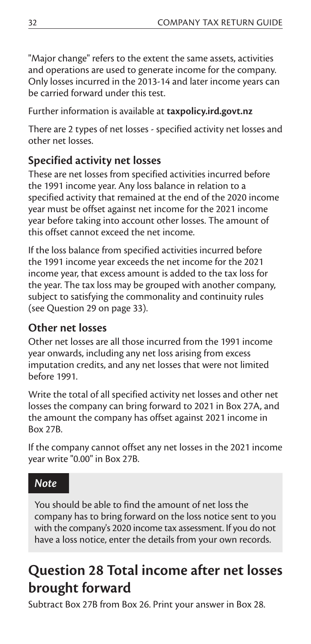"Major change" refers to the extent the same assets, activities and operations are used to generate income for the company. Only losses incurred in the 2013-14 and later income years can be carried forward under this test.

Further information is available at **taxpolicy.ird.govt.nz**

There are 2 types of net losses - specified activity net losses and other net losses.

#### **Specified activity net losses**

These are net losses from specified activities incurred before the 1991 income year. Any loss balance in relation to a specified activity that remained at the end of the 2020 income year must be offset against net income for the 2021 income year before taking into account other losses. The amount of this offset cannot exceed the net income.

If the loss balance from specified activities incurred before the 1991 income year exceeds the net income for the 2021 income year, that excess amount is added to the tax loss for the year. The tax loss may be grouped with another company, subject to satisfying the commonality and continuity rules (see Question 29 on page 33).

#### **Other net losses**

Other net losses are all those incurred from the 1991 income year onwards, including any net loss arising from excess imputation credits, and any net losses that were not limited before 1991.

Write the total of all specified activity net losses and other net losses the company can bring forward to 2021 in Box 27A, and the amount the company has offset against 2021 income in Box 27B.

If the company cannot offset any net losses in the 2021 income year write "0.00" in Box 27B.

#### *Note*

You should be able to find the amount of net loss the company has to bring forward on the loss notice sent to you with the company's 2020 income tax assessment. If you do not have a loss notice, enter the details from your own records.

## **Question 28 Total income after net losses brought forward**

Subtract Box 27B from Box 26. Print your answer in Box 28.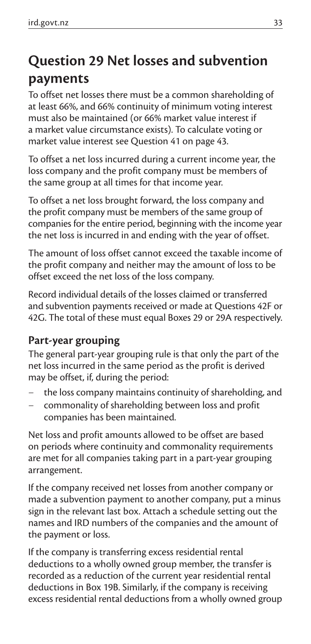# **Question 29 Net losses and subvention payments**

To offset net losses there must be a common shareholding of at least 66%, and 66% continuity of minimum voting interest must also be maintained (or 66% market value interest if a market value circumstance exists). To calculate voting or market value interest see Question 41 on page 43.

To offset a net loss incurred during a current income year, the loss company and the profit company must be members of the same group at all times for that income year.

To offset a net loss brought forward, the loss company and the profit company must be members of the same group of companies for the entire period, beginning with the income year the net loss is incurred in and ending with the year of offset.

The amount of loss offset cannot exceed the taxable income of the profit company and neither may the amount of loss to be offset exceed the net loss of the loss company.

Record individual details of the losses claimed or transferred and subvention payments received or made at Questions 42F or 42G. The total of these must equal Boxes 29 or 29A respectively.

#### **Part-year grouping**

The general part-year grouping rule is that only the part of the net loss incurred in the same period as the profit is derived may be offset, if, during the period:

- the loss company maintains continuity of shareholding, and
- commonality of shareholding between loss and profit companies has been maintained.

Net loss and profit amounts allowed to be offset are based on periods where continuity and commonality requirements are met for all companies taking part in a part-year grouping arrangement.

If the company received net losses from another company or made a subvention payment to another company, put a minus sign in the relevant last box. Attach a schedule setting out the names and IRD numbers of the companies and the amount of the payment or loss.

If the company is transferring excess residential rental deductions to a wholly owned group member, the transfer is recorded as a reduction of the current year residential rental deductions in Box 19B. Similarly, if the company is receiving excess residential rental deductions from a wholly owned group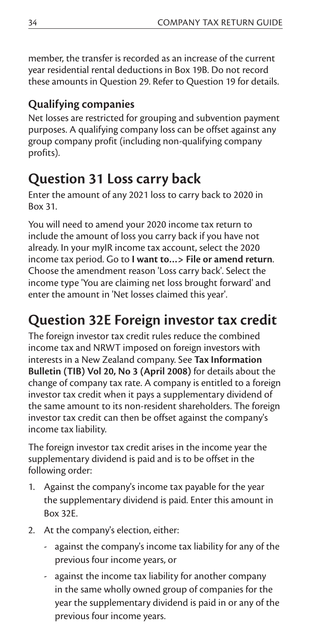member, the transfer is recorded as an increase of the current year residential rental deductions in Box 19B. Do not record these amounts in Question 29. Refer to Question 19 for details.

#### **Qualifying companies**

Net losses are restricted for grouping and subvention payment purposes. A qualifying company loss can be offset against any group company profit (including non-qualifying company profits).

### **Question 31 Loss carry back**

Enter the amount of any 2021 loss to carry back to 2020 in Box 31.

You will need to amend your 2020 income tax return to include the amount of loss you carry back if you have not already. In your myIR income tax account, select the 2020 income tax period. Go to **I want to…> File or amend return**. Choose the amendment reason 'Loss carry back'. Select the income type 'You are claiming net loss brought forward' and enter the amount in 'Net losses claimed this year'.

## **Question 32E Foreign investor tax credit**

The foreign investor tax credit rules reduce the combined income tax and NRWT imposed on foreign investors with interests in a New Zealand company. See **Tax Information Bulletin (TIB) Vol 20, No 3 (April 2008)** for details about the change of company tax rate. A company is entitled to a foreign investor tax credit when it pays a supplementary dividend of the same amount to its non-resident shareholders. The foreign investor tax credit can then be offset against the company's income tax liability.

The foreign investor tax credit arises in the income year the supplementary dividend is paid and is to be offset in the following order:

- 1. Against the company's income tax payable for the year the supplementary dividend is paid. Enter this amount in Box 32E.
- 2. At the company's election, either:
	- against the company's income tax liability for any of the previous four income years, or
	- against the income tax liability for another company in the same wholly owned group of companies for the year the supplementary dividend is paid in or any of the previous four income years.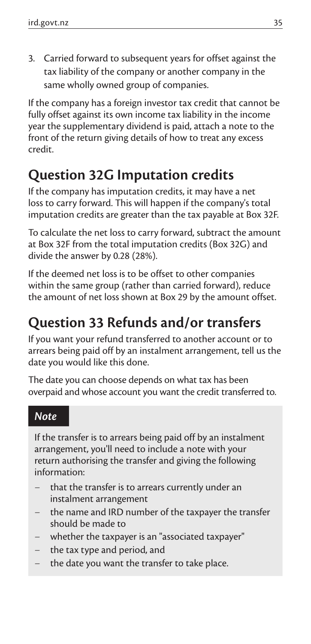3. Carried forward to subsequent years for offset against the tax liability of the company or another company in the same wholly owned group of companies.

If the company has a foreign investor tax credit that cannot be fully offset against its own income tax liability in the income year the supplementary dividend is paid, attach a note to the front of the return giving details of how to treat any excess credit.

# **Question 32G Imputation credits**

If the company has imputation credits, it may have a net loss to carry forward. This will happen if the company's total imputation credits are greater than the tax payable at Box 32F.

To calculate the net loss to carry forward, subtract the amount at Box 32F from the total imputation credits (Box 32G) and divide the answer by 0.28 (28%).

If the deemed net loss is to be offset to other companies within the same group (rather than carried forward), reduce the amount of net loss shown at Box 29 by the amount offset.

# **Question 33 Refunds and/or transfers**

If you want your refund transferred to another account or to arrears being paid off by an instalment arrangement, tell us the date you would like this done.

The date you can choose depends on what tax has been overpaid and whose account you want the credit transferred to.

#### *Note*

If the transfer is to arrears being paid off by an instalment arrangement, you'll need to include a note with your return authorising the transfer and giving the following information:

- that the transfer is to arrears currently under an instalment arrangement
- the name and IRD number of the taxpayer the transfer should be made to
- whether the taxpayer is an "associated taxpayer"
- the tax type and period, and
- the date you want the transfer to take place.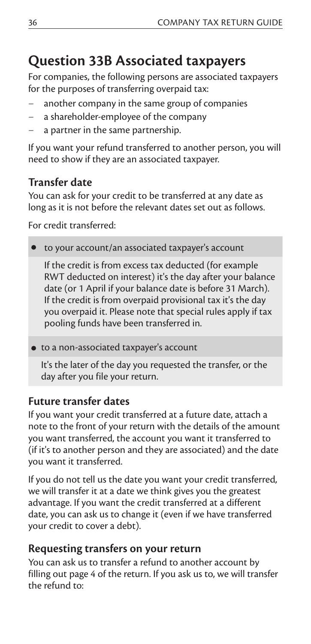# **Question 33B Associated taxpayers**

For companies, the following persons are associated taxpayers for the purposes of transferring overpaid tax:

- another company in the same group of companies
- a shareholder-employee of the company
- a partner in the same partnership.

If you want your refund transferred to another person, you will need to show if they are an associated taxpayer.

#### **Transfer date**

You can ask for your credit to be transferred at any date as long as it is not before the relevant dates set out as follows.

For credit transferred:

to your account/an associated taxpayer's account

If the credit is from excess tax deducted (for example RWT deducted on interest) it's the day after your balance date (or 1 April if your balance date is before 31 March). If the credit is from overpaid provisional tax it's the day you overpaid it. Please note that special rules apply if tax pooling funds have been transferred in.

to a non-associated taxpayer's account

It's the later of the day you requested the transfer, or the day after you file your return.

#### **Future transfer dates**

If you want your credit transferred at a future date, attach a note to the front of your return with the details of the amount you want transferred, the account you want it transferred to (if it's to another person and they are associated) and the date you want it transferred.

If you do not tell us the date you want your credit transferred, we will transfer it at a date we think gives you the greatest advantage. If you want the credit transferred at a different date, you can ask us to change it (even if we have transferred your credit to cover a debt).

#### **Requesting transfers on your return**

You can ask us to transfer a refund to another account by filling out page 4 of the return. If you ask us to, we will transfer the refund to: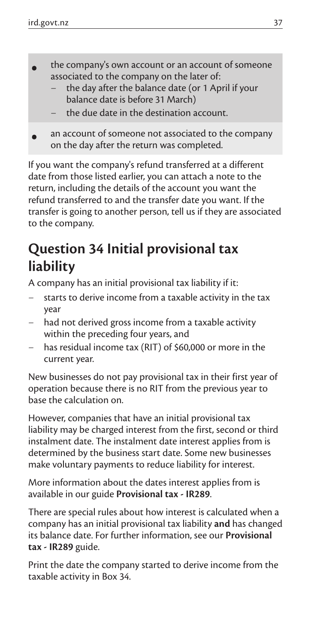- **•** the company's own account or an account of someone associated to the company on the later of:
	- the day after the balance date (or 1 April if your balance date is before 31 March)
	- the due date in the destination account.
- **•** an account of someone not associated to the company on the day after the return was completed.

If you want the company's refund transferred at a different date from those listed earlier, you can attach a note to the return, including the details of the account you want the refund transferred to and the transfer date you want. If the transfer is going to another person, tell us if they are associated to the company.

## **Question 34 Initial provisional tax liability**

A company has an initial provisional tax liability if it:

- starts to derive income from a taxable activity in the tax year
- had not derived gross income from a taxable activity within the preceding four years, and
- has residual income tax (RIT) of \$60,000 or more in the current year.

New businesses do not pay provisional tax in their first year of operation because there is no RIT from the previous year to base the calculation on.

However, companies that have an initial provisional tax liability may be charged interest from the first, second or third instalment date. The instalment date interest applies from is determined by the business start date. Some new businesses make voluntary payments to reduce liability for interest.

More information about the dates interest applies from is available in our guide **Provisional tax - IR289**.

There are special rules about how interest is calculated when a company has an initial provisional tax liability **and** has changed its balance date. For further information, see our **Provisional tax - IR289** guide.

Print the date the company started to derive income from the taxable activity in Box 34.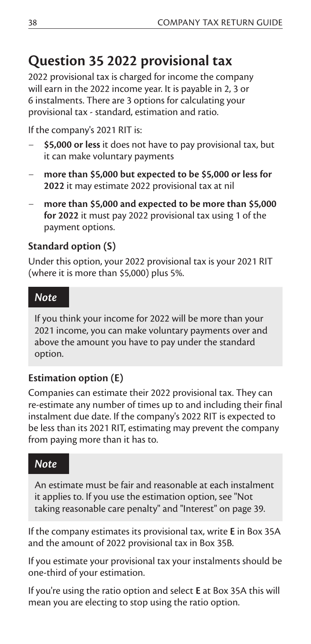### **Question 35 2022 provisional tax**

2022 provisional tax is charged for income the company will earn in the 2022 income year. It is payable in 2, 3 or 6 instalments. There are 3 options for calculating your provisional tax - standard, estimation and ratio.

If the company's 2021 RIT is:

- **\$5,000 or less** it does not have to pay provisional tax, but it can make voluntary payments
- **more than \$5,000 but expected to be \$5,000 or less for 2022** it may estimate 2022 provisional tax at nil
- **more than \$5,000 and expected to be more than \$5,000 for 2022** it must pay 2022 provisional tax using 1 of the payment options.

#### **Standard option (S)**

Under this option, your 2022 provisional tax is your 2021 RIT (where it is more than \$5,000) plus 5%.

#### *Note*

If you think your income for 2022 will be more than your 2021 income, you can make voluntary payments over and above the amount you have to pay under the standard option.

#### **Estimation option (E)**

Companies can estimate their 2022 provisional tax. They can re-estimate any number of times up to and including their final instalment due date. If the company's 2022 RIT is expected to be less than its 2021 RIT, estimating may prevent the company from paying more than it has to.

#### *Note*

An estimate must be fair and reasonable at each instalment it applies to. If you use the estimation option, see "Not taking reasonable care penalty" and "Interest" on page 39.

If the company estimates its provisional tax, write **E** in Box 35A and the amount of 2022 provisional tax in Box 35B.

If you estimate your provisional tax your instalments should be one-third of your estimation.

If you're using the ratio option and select **E** at Box 35A this will mean you are electing to stop using the ratio option.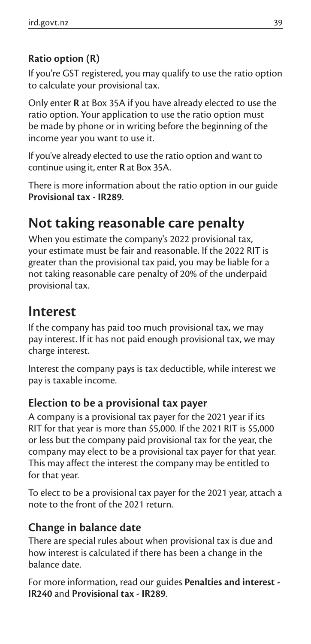#### **Ratio option (R)**

If you're GST registered, you may qualify to use the ratio option to calculate your provisional tax.

Only enter **R** at Box 35A if you have already elected to use the ratio option. Your application to use the ratio option must be made by phone or in writing before the beginning of the income year you want to use it.

If you've already elected to use the ratio option and want to continue using it, enter **R** at Box 35A.

There is more information about the ratio option in our guide **Provisional tax - IR289**.

### **Not taking reasonable care penalty**

When you estimate the company's 2022 provisional tax, your estimate must be fair and reasonable. If the 2022 RIT is greater than the provisional tax paid, you may be liable for a not taking reasonable care penalty of 20% of the underpaid provisional tax.

### **Interest**

If the company has paid too much provisional tax, we may pay interest. If it has not paid enough provisional tax, we may charge interest.

Interest the company pays is tax deductible, while interest we pay is taxable income.

#### **Election to be a provisional tax payer**

A company is a provisional tax payer for the 2021 year if its RIT for that year is more than \$5,000. If the 2021 RIT is \$5,000 or less but the company paid provisional tax for the year, the company may elect to be a provisional tax payer for that year. This may affect the interest the company may be entitled to for that year.

To elect to be a provisional tax payer for the 2021 year, attach a note to the front of the 2021 return.

#### **Change in balance date**

There are special rules about when provisional tax is due and how interest is calculated if there has been a change in the balance date.

For more information, read our guides **Penalties and interest - IR240** and **Provisional tax - IR289***.*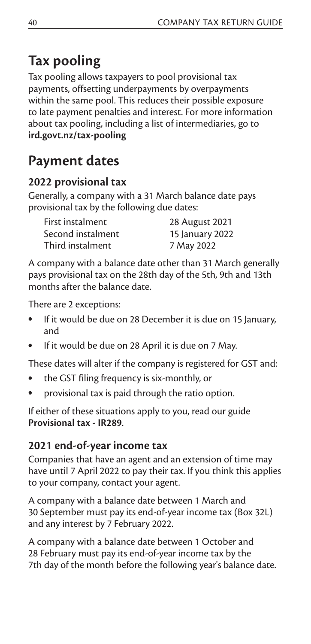# **Tax pooling**

Tax pooling allows taxpayers to pool provisional tax payments, offsetting underpayments by overpayments within the same pool. This reduces their possible exposure to late payment penalties and interest. For more information about tax pooling, including a list of intermediaries, go to **ird.govt.nz/tax-pooling**

## **Payment dates**

#### **2022 provisional tax**

Generally, a company with a 31 March balance date pays provisional tax by the following due dates:

| First instalment  | 28 August 2021  |
|-------------------|-----------------|
| Second instalment | 15 January 2022 |
| Third instalment  | 7 May 2022      |

A company with a balance date other than 31 March generally pays provisional tax on the 28th day of the 5th, 9th and 13th months after the balance date.

There are 2 exceptions:

- If it would be due on 28 December it is due on 15 January, and
- If it would be due on 28 April it is due on 7 May.

These dates will alter if the company is registered for GST and:

- the GST filing frequency is six-monthly, or
- provisional tax is paid through the ratio option.

If either of these situations apply to you, read our guide **Provisional tax - IR289**.

#### **2021 end-of-year income tax**

Companies that have an agent and an extension of time may have until 7 April 2022 to pay their tax. If you think this applies to your company, contact your agent.

A company with a balance date between 1 March and 30 September must pay its end-of-year income tax (Box 32L) and any interest by 7 February 2022.

A company with a balance date between 1 October and 28 February must pay its end-of-year income tax by the 7th day of the month before the following year's balance date.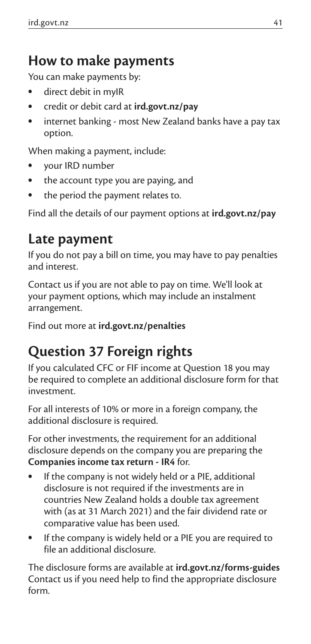### **How to make payments**

You can make payments by:

- direct debit in myIR
- credit or debit card at **ird.govt.nz/pay**
- internet banking most New Zealand banks have a pay tax option.

When making a payment, include:

- your IRD number
- the account type you are paying, and
- the period the payment relates to.

Find all the details of our payment options at **ird.govt.nz/pay**

### **Late payment**

If you do not pay a bill on time, you may have to pay penalties and interest.

Contact us if you are not able to pay on time. We'll look at your payment options, which may include an instalment arrangement.

Find out more at **ird.govt.nz/penalties**

# **Question 37 Foreign rights**

If you calculated CFC or FIF income at Question 18 you may be required to complete an additional disclosure form for that investment.

For all interests of 10% or more in a foreign company, the additional disclosure is required.

For other investments, the requirement for an additional disclosure depends on the company you are preparing the **Companies income tax return - IR4** for.

- If the company is not widely held or a PIE, additional disclosure is not required if the investments are in countries New Zealand holds a double tax agreement with (as at 31 March 2021) and the fair dividend rate or comparative value has been used.
- If the company is widely held or a PIE you are required to file an additional disclosure.

The disclosure forms are available at **ird.govt.nz/forms-guides** Contact us if you need help to find the appropriate disclosure form.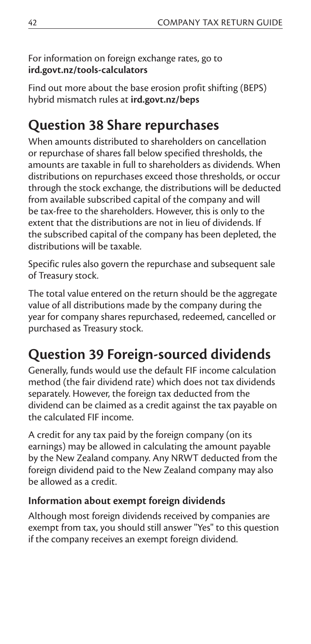#### For information on foreign exchange rates, go to **ird.govt.nz/tools-calculators**

Find out more about the base erosion profit shifting (BEPS) hybrid mismatch rules at **ird.govt.nz/beps**

## **Question 38 Share repurchases**

When amounts distributed to shareholders on cancellation or repurchase of shares fall below specified thresholds, the amounts are taxable in full to shareholders as dividends. When distributions on repurchases exceed those thresholds, or occur through the stock exchange, the distributions will be deducted from available subscribed capital of the company and will be tax-free to the shareholders. However, this is only to the extent that the distributions are not in lieu of dividends. If the subscribed capital of the company has been depleted, the distributions will be taxable.

Specific rules also govern the repurchase and subsequent sale of Treasury stock.

The total value entered on the return should be the aggregate value of all distributions made by the company during the year for company shares repurchased, redeemed, cancelled or purchased as Treasury stock.

# **Question 39 Foreign-sourced dividends**

Generally, funds would use the default FIF income calculation method (the fair dividend rate) which does not tax dividends separately. However, the foreign tax deducted from the dividend can be claimed as a credit against the tax payable on the calculated FIF income.

A credit for any tax paid by the foreign company (on its earnings) may be allowed in calculating the amount payable by the New Zealand company. Any NRWT deducted from the foreign dividend paid to the New Zealand company may also be allowed as a credit.

#### **Information about exempt foreign dividends**

Although most foreign dividends received by companies are exempt from tax, you should still answer ''Yes'' to this question if the company receives an exempt foreign dividend.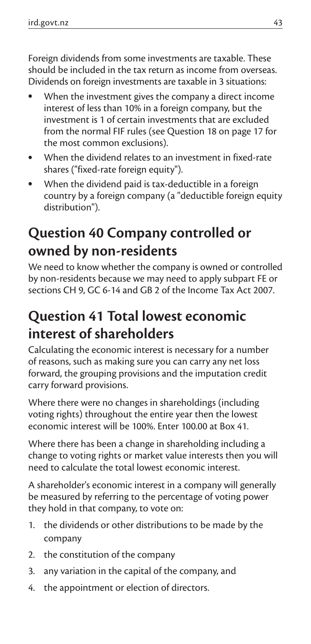Foreign dividends from some investments are taxable. These should be included in the tax return as income from overseas. Dividends on foreign investments are taxable in 3 situations:

- When the investment gives the company a direct income interest of less than 10% in a foreign company, but the investment is 1 of certain investments that are excluded from the normal FIF rules (see Question 18 on page 17 for the most common exclusions).
- When the dividend relates to an investment in fixed-rate shares ("fixed-rate foreign equity").
- When the dividend paid is tax-deductible in a foreign country by a foreign company (a "deductible foreign equity distribution").

# **Question 40 Company controlled or owned by non-residents**

We need to know whether the company is owned or controlled by non-residents because we may need to apply subpart FE or sections CH 9, GC 6-14 and GB 2 of the Income Tax Act 2007.

# **Question 41 Total lowest economic interest of shareholders**

Calculating the economic interest is necessary for a number of reasons, such as making sure you can carry any net loss forward, the grouping provisions and the imputation credit carry forward provisions.

Where there were no changes in shareholdings (including voting rights) throughout the entire year then the lowest economic interest will be 100%. Enter 100.00 at Box 41.

Where there has been a change in shareholding including a change to voting rights or market value interests then you will need to calculate the total lowest economic interest.

A shareholder's economic interest in a company will generally be measured by referring to the percentage of voting power they hold in that company, to vote on:

- 1. the dividends or other distributions to be made by the company
- 2. the constitution of the company
- 3. any variation in the capital of the company, and
- 4. the appointment or election of directors.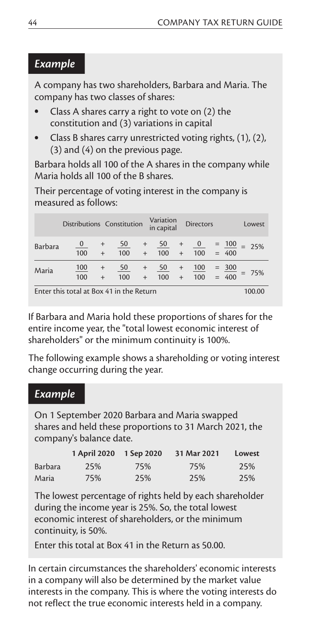#### *Example*

A company has two shareholders, Barbara and Maria. The company has two classes of shares:

- Class A shares carry a right to vote on (2) the constitution and (3) variations in capital
- Class B shares carry unrestricted voting rights, (1), (2), (3) and (4) on the previous page.

Barbara holds all 100 of the A shares in the company while Maria holds all 100 of the B shares.

Their percentage of voting interest in the company is measured as follows:

|         | Distributions Constitution |               |           |                  | Variation<br>in capital |               | <b>Directors</b>                      |                                      | Lowest  |
|---------|----------------------------|---------------|-----------|------------------|-------------------------|---------------|---------------------------------------|--------------------------------------|---------|
| Barbara | $\mathbf{0}$<br>100        | $+$           | 50<br>100 | $^{+}$<br>$^{+}$ | 100                     | $+$           | $\frac{50}{ }$ + $\frac{0}{ }$<br>100 | $=$ $\frac{100}{ }$ = 25%<br>$= 400$ |         |
| Maria   | 100<br>100                 | $^{+}$<br>$+$ | 50<br>100 | $+$<br>$+$       | $\frac{50}{100}$        | $+$<br>$^{+}$ | 100<br>100                            | $=$ $\frac{300}{400}$                | $= 75%$ |
| $\sim$  | $\sim$                     |               | .         |                  |                         |               |                                       |                                      |         |

Enter this total at Box 41 in the Return 100.00

If Barbara and Maria hold these proportions of shares for the entire income year, the "total lowest economic interest of shareholders" or the minimum continuity is 100%.

The following example shows a shareholding or voting interest change occurring during the year.

#### *Example*

On 1 September 2020 Barbara and Maria swapped shares and held these proportions to 31 March 2021, the company's balance date.

|                | 1 April 2020 | 1 Sep 2020 | 31 Mar 2021 | Lowest |
|----------------|--------------|------------|-------------|--------|
| <b>Barbara</b> | 25%          | 75%        | 75%         | 25%    |
| Maria          | 75%          | 25%        | 25%         | 25%    |

The lowest percentage of rights held by each shareholder during the income year is 25%. So, the total lowest economic interest of shareholders, or the minimum continuity, is 50%.

Enter this total at Box 41 in the Return as 50.00.

In certain circumstances the shareholders' economic interests in a company will also be determined by the market value interests in the company. This is where the voting interests do not reflect the true economic interests held in a company.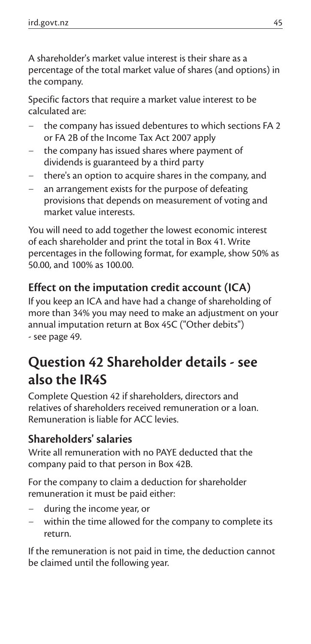A shareholder's market value interest is their share as a percentage of the total market value of shares (and options) in the company.

Specific factors that require a market value interest to be calculated are:

- the company has issued debentures to which sections FA 2 or FA 2B of the Income Tax Act 2007 apply
- the company has issued shares where payment of dividends is guaranteed by a third party
- there's an option to acquire shares in the company, and
- an arrangement exists for the purpose of defeating provisions that depends on measurement of voting and market value interests.

You will need to add together the lowest economic interest of each shareholder and print the total in Box 41. Write percentages in the following format, for example, show 50% as 50.00, and 100% as 100.00.

#### **Effect on the imputation credit account (ICA)**

If you keep an ICA and have had a change of shareholding of more than 34% you may need to make an adjustment on your annual imputation return at Box 45C ("Other debits") - see page 49.

# **Question 42 Shareholder details - see also the IR4S**

Complete Question 42 if shareholders, directors and relatives of shareholders received remuneration or a loan. Remuneration is liable for ACC levies.

#### **Shareholders' salaries**

Write all remuneration with no PAYE deducted that the company paid to that person in Box 42B.

For the company to claim a deduction for shareholder remuneration it must be paid either:

- during the income year, or
- within the time allowed for the company to complete its return.

If the remuneration is not paid in time, the deduction cannot be claimed until the following year.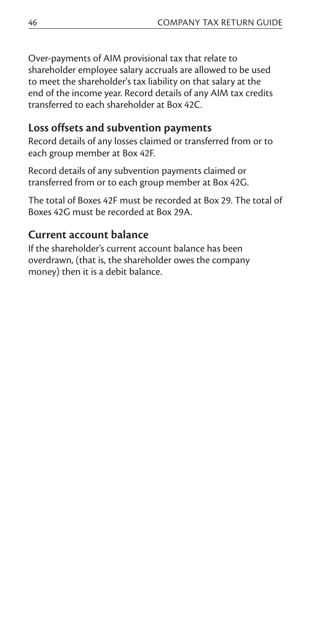Over-payments of AIM provisional tax that relate to shareholder employee salary accruals are allowed to be used to meet the shareholder's tax liability on that salary at the end of the income year. Record details of any AIM tax credits transferred to each shareholder at Box 42C.

#### **Loss offsets and subvention payments**

Record details of any losses claimed or transferred from or to each group member at Box 42F.

Record details of any subvention payments claimed or transferred from or to each group member at Box 42G.

The total of Boxes 42F must be recorded at Box 29. The total of Boxes 42G must be recorded at Box 29A.

#### **Current account balance**

If the shareholder's current account balance has been overdrawn, (that is, the shareholder owes the company money) then it is a debit balance.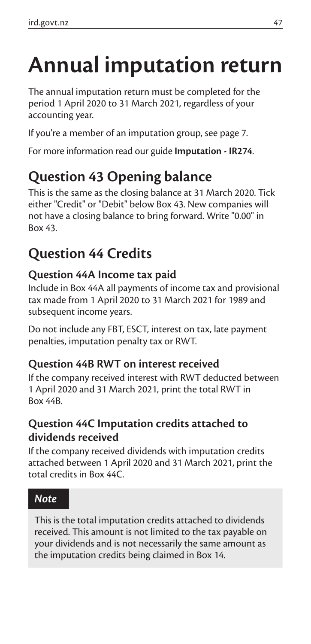# **Annual imputation return**

The annual imputation return must be completed for the period 1 April 2020 to 31 March 2021, regardless of your accounting year.

If you're a member of an imputation group, see page 7.

For more information read our guide **Imputation - IR274**.

# **Question 43 Opening balance**

This is the same as the closing balance at 31 March 2020. Tick either "Credit" or "Debit" below Box 43. New companies will not have a closing balance to bring forward. Write "0.00" in Box 43.

### **Question 44 Credits**

#### **Question 44A Income tax paid**

Include in Box 44A all payments of income tax and provisional tax made from 1 April 2020 to 31 March 2021 for 1989 and subsequent income years.

Do not include any FBT, ESCT, interest on tax, late payment penalties, imputation penalty tax or RWT.

#### **Question 44B RWT on interest received**

If the company received interest with RWT deducted between 1 April 2020 and 31 March 2021, print the total RWT in Box 44B.

#### **Question 44C Imputation credits attached to dividends received**

If the company received dividends with imputation credits attached between 1 April 2020 and 31 March 2021, print the total credits in Box 44C.

#### *Note*

This is the total imputation credits attached to dividends received. This amount is not limited to the tax payable on your dividends and is not necessarily the same amount as the imputation credits being claimed in Box 14.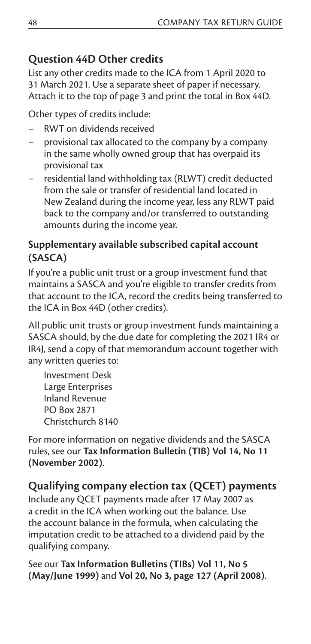#### **Question 44D Other credits**

List any other credits made to the ICA from 1 April 2020 to 31 March 2021. Use a separate sheet of paper if necessary. Attach it to the top of page 3 and print the total in Box 44D.

Other types of credits include:

- RWT on dividends received
- provisional tax allocated to the company by a company in the same wholly owned group that has overpaid its provisional tax
- residential land withholding tax (RLWT) credit deducted from the sale or transfer of residential land located in New Zealand during the income year, less any RLWT paid back to the company and/or transferred to outstanding amounts during the income year.

#### **Supplementary available subscribed capital account (SASCA)**

If you're a public unit trust or a group investment fund that maintains a SASCA and you're eligible to transfer credits from that account to the ICA, record the credits being transferred to the ICA in Box 44D (other credits).

All public unit trusts or group investment funds maintaining a SASCA should, by the due date for completing the 2021 IR4 or IR4J, send a copy of that memorandum account together with any written queries to:

Investment Desk Large Enterprises Inland Revenue PO Box 2871 Christchurch 8140

For more information on negative dividends and the SASCA rules, see our **Tax Information Bulletin (TIB) Vol 14, No 11 (November 2002)**.

#### **Qualifying company election tax (QCET) payments**

Include any QCET payments made after 17 May 2007 as a credit in the ICA when working out the balance. Use the account balance in the formula, when calculating the imputation credit to be attached to a dividend paid by the qualifying company.

See our **Tax Information Bulletins (TIBs) Vol 11, No 5 (May/June 1999)** and **Vol 20, No 3, page 127 (April 2008)**.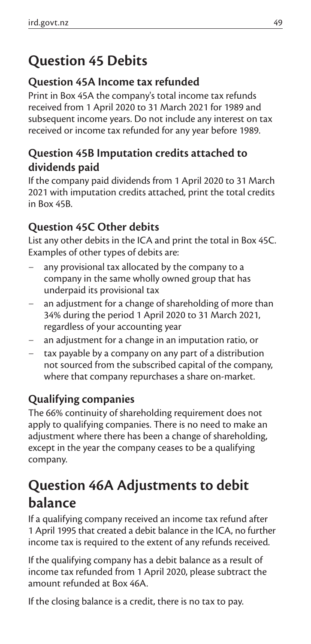# **Question 45 Debits**

#### **Question 45A Income tax refunded**

Print in Box 45A the company's total income tax refunds received from 1 April 2020 to 31 March 2021 for 1989 and subsequent income years. Do not include any interest on tax received or income tax refunded for any year before 1989.

#### **Question 45B Imputation credits attached to dividends paid**

If the company paid dividends from 1 April 2020 to 31 March 2021 with imputation credits attached, print the total credits in Box 45B.

#### **Question 45C Other debits**

List any other debits in the ICA and print the total in Box 45C. Examples of other types of debits are:

- any provisional tax allocated by the company to a company in the same wholly owned group that has underpaid its provisional tax
- an adjustment for a change of shareholding of more than 34% during the period 1 April 2020 to 31 March 2021, regardless of your accounting year
- an adjustment for a change in an imputation ratio, or
- tax payable by a company on any part of a distribution not sourced from the subscribed capital of the company, where that company repurchases a share on-market.

#### **Qualifying companies**

The 66% continuity of shareholding requirement does not apply to qualifying companies. There is no need to make an adjustment where there has been a change of shareholding, except in the year the company ceases to be a qualifying company.

# **Question 46A Adjustments to debit balance**

If a qualifying company received an income tax refund after 1 April 1995 that created a debit balance in the ICA, no further income tax is required to the extent of any refunds received.

If the qualifying company has a debit balance as a result of income tax refunded from 1 April 2020, please subtract the amount refunded at Box 46A.

If the closing balance is a credit, there is no tax to pay.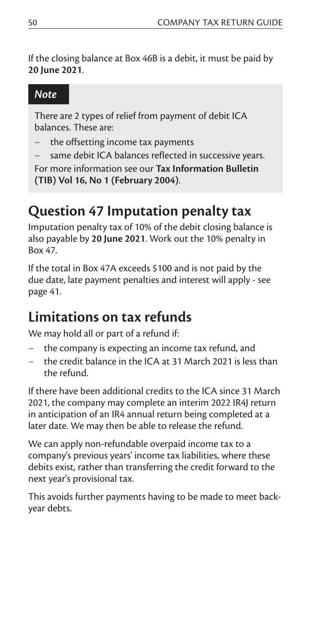If the closing balance at Box 46B is a debit, it must be paid by **20 June 2021**.

#### *Note*

There are 2 types of relief from payment of debit ICA balances. These are:

- the offsetting income tax payments
- same debit ICA balances reflected in successive years.

For more information see our **Tax Information Bulletin (TIB) Vol 16, No 1 (February 2004)**.

# **Question 47 Imputation penalty tax**

Imputation penalty tax of 10% of the debit closing balance is also payable by **20 June 2021**. Work out the 10% penalty in Box 47.

If the total in Box 47A exceeds \$100 and is not paid by the due date, late payment penalties and interest will apply - see page 41.

## **Limitations on tax refunds**

We may hold all or part of a refund if:

- the company is expecting an income tax refund, and
- the credit balance in the ICA at 31 March 2021 is less than the refund.

If there have been additional credits to the ICA since 31 March 2021, the company may complete an interim 2022 IR4J return in anticipation of an IR4 annual return being completed at a later date. We may then be able to release the refund.

We can apply non-refundable overpaid income tax to a company's previous years' income tax liabilities, where these debits exist, rather than transferring the credit forward to the next year's provisional tax.

This avoids further payments having to be made to meet backyear debts.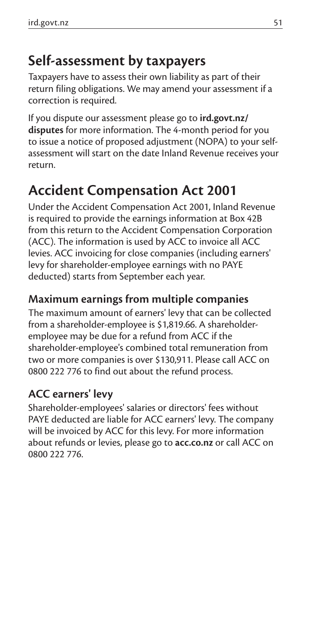### **Self-assessment by taxpayers**

Taxpayers have to assess their own liability as part of their return filing obligations. We may amend your assessment if a correction is required.

If you dispute our assessment please go to **ird.govt.nz/ disputes** for more information. The 4-month period for you to issue a notice of proposed adjustment (NOPA) to your selfassessment will start on the date Inland Revenue receives your return.

### **Accident Compensation Act 2001**

Under the Accident Compensation Act 2001, Inland Revenue is required to provide the earnings information at Box 42B from this return to the Accident Compensation Corporation (ACC). The information is used by ACC to invoice all ACC levies. ACC invoicing for close companies (including earners' levy for shareholder-employee earnings with no PAYE deducted) starts from September each year.

#### **Maximum earnings from multiple companies**

The maximum amount of earners' levy that can be collected from a shareholder-employee is \$1,819.66. A shareholderemployee may be due for a refund from ACC if the shareholder-employee's combined total remuneration from two or more companies is over \$130,911. Please call ACC on 0800 222 776 to find out about the refund process.

#### **ACC earners' levy**

Shareholder-employees' salaries or directors' fees without PAYE deducted are liable for ACC earners' levy. The company will be invoiced by ACC for this levy. For more information about refunds or levies, please go to **acc.co.nz** or call ACC on 0800 222 776.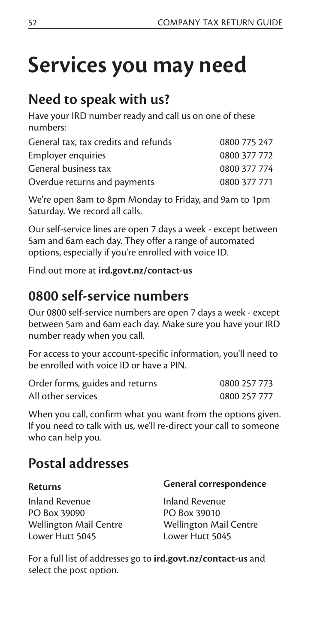# **Services you may need**

### **Need to speak with us?**

Have your IRD number ready and call us on one of these numbers:

| General tax, tax credits and refunds | 0800 775 247 |
|--------------------------------------|--------------|
| Employer enquiries                   | 0800 377 772 |
| General business tax                 | 0800 377 774 |
| Overdue returns and payments         | 0800 377 771 |
|                                      |              |

We're open 8am to 8pm Monday to Friday, and 9am to 1pm Saturday. We record all calls.

Our self-service lines are open 7 days a week - except between 5am and 6am each day. They offer a range of automated options, especially if you're enrolled with voice ID.

Find out more at **ird.govt.nz/contact-us**

### **0800 self-service numbers**

Our 0800 self-service numbers are open 7 days a week - except between 5am and 6am each day. Make sure you have your IRD number ready when you call.

For access to your account-specific information, you'll need to be enrolled with voice ID or have a PIN.

| Order forms, guides and returns | 0800 257 773 |
|---------------------------------|--------------|
| All other services              | 0800 257 777 |

When you call, confirm what you want from the options given. If you need to talk with us, we'll re-direct your call to someone who can help you.

### **Postal addresses**

| <b>Returns</b>                | General correspondence        |  |  |
|-------------------------------|-------------------------------|--|--|
| Inland Revenue                | Inland Revenue                |  |  |
| PO Box 39090                  | PO Box 39010                  |  |  |
| <b>Wellington Mail Centre</b> | <b>Wellington Mail Centre</b> |  |  |
| Lower Hutt 5045               | Lower Hutt 5045               |  |  |

For a full list of addresses go to **ird.govt.nz/contact-us** and select the post option.